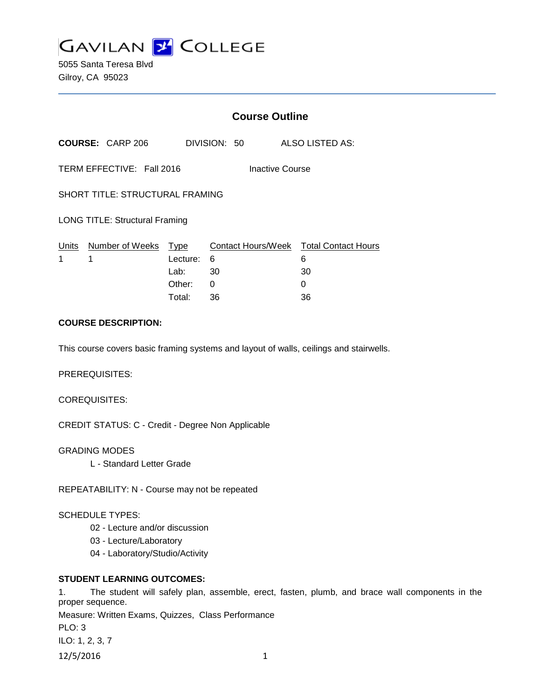

5055 Santa Teresa Blvd Gilroy, CA 95023

|                                                     | <b>Course Outline</b>                        |                         |                    |                                                           |
|-----------------------------------------------------|----------------------------------------------|-------------------------|--------------------|-----------------------------------------------------------|
|                                                     |                                              |                         |                    |                                                           |
| TERM EFFECTIVE: Fall 2016<br><b>Inactive Course</b> |                                              |                         |                    |                                                           |
| <b>SHORT TITLE: STRUCTURAL FRAMING</b>              |                                              |                         |                    |                                                           |
| <b>LONG TITLE: Structural Framing</b>               |                                              |                         |                    |                                                           |
| Number of Weeks                                     | Type<br>Lecture:<br>Lab:<br>Other:<br>Total: | 6<br>30<br>0<br>36      | 6<br>30<br>0<br>36 |                                                           |
|                                                     |                                              | <b>COURSE: CARP 206</b> | DIVISION: 50       | ALSO LISTED AS:<br>Contact Hours/Week Total Contact Hours |

# **COURSE DESCRIPTION:**

This course covers basic framing systems and layout of walls, ceilings and stairwells.

PREREQUISITES:

COREQUISITES:

CREDIT STATUS: C - Credit - Degree Non Applicable

GRADING MODES

L - Standard Letter Grade

REPEATABILITY: N - Course may not be repeated

### SCHEDULE TYPES:

- 02 Lecture and/or discussion
- 03 Lecture/Laboratory
- 04 Laboratory/Studio/Activity

# **STUDENT LEARNING OUTCOMES:**

1. The student will safely plan, assemble, erect, fasten, plumb, and brace wall components in the proper sequence. Measure: Written Exams, Quizzes, Class Performance PLO: 3 ILO: 1, 2, 3, 7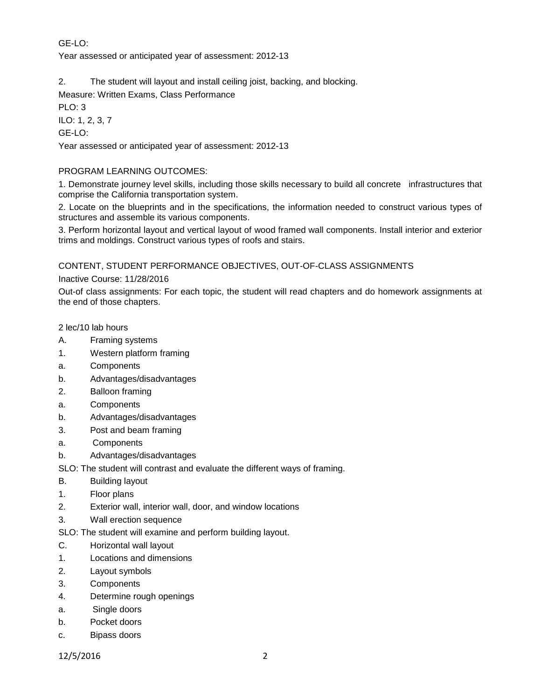# GE-LO:

Year assessed or anticipated year of assessment: 2012-13

2. The student will layout and install ceiling joist, backing, and blocking.

Measure: Written Exams, Class Performance

PLO: 3

ILO: 1, 2, 3, 7 GE-LO:

Year assessed or anticipated year of assessment: 2012-13

# PROGRAM LEARNING OUTCOMES:

1. Demonstrate journey level skills, including those skills necessary to build all concrete infrastructures that comprise the California transportation system.

2. Locate on the blueprints and in the specifications, the information needed to construct various types of structures and assemble its various components.

3. Perform horizontal layout and vertical layout of wood framed wall components. Install interior and exterior trims and moldings. Construct various types of roofs and stairs.

CONTENT, STUDENT PERFORMANCE OBJECTIVES, OUT-OF-CLASS ASSIGNMENTS

Inactive Course: 11/28/2016

Out-of class assignments: For each topic, the student will read chapters and do homework assignments at the end of those chapters.

2 lec/10 lab hours

- A. Framing systems
- 1. Western platform framing
- a. Components
- b. Advantages/disadvantages
- 2. Balloon framing
- a. Components
- b. Advantages/disadvantages
- 3. Post and beam framing
- a. Components
- b. Advantages/disadvantages

SLO: The student will contrast and evaluate the different ways of framing.

- B. Building layout
- 1. Floor plans
- 2. Exterior wall, interior wall, door, and window locations
- 3. Wall erection sequence
- SLO: The student will examine and perform building layout.
- C. Horizontal wall layout
- 1. Locations and dimensions
- 2. Layout symbols
- 3. Components
- 4. Determine rough openings
- a. Single doors
- b. Pocket doors
- c. Bipass doors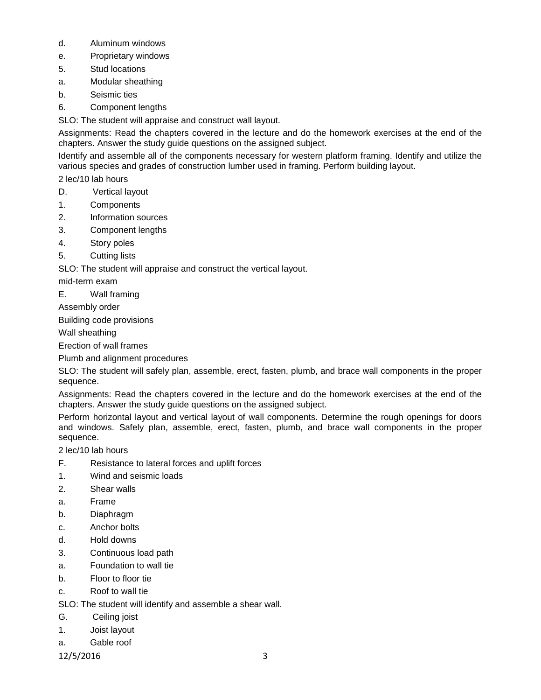- d. Aluminum windows
- e. Proprietary windows
- 5. Stud locations
- a. Modular sheathing
- b. Seismic ties
- 6. Component lengths

SLO: The student will appraise and construct wall layout.

Assignments: Read the chapters covered in the lecture and do the homework exercises at the end of the chapters. Answer the study guide questions on the assigned subject.

Identify and assemble all of the components necessary for western platform framing. Identify and utilize the various species and grades of construction lumber used in framing. Perform building layout.

2 lec/10 lab hours

- D. Vertical layout
- 1. Components
- 2. Information sources
- 3. Component lengths
- 4. Story poles
- 5. Cutting lists

SLO: The student will appraise and construct the vertical layout.

mid-term exam

E. Wall framing

Assembly order

Building code provisions

Wall sheathing

Erection of wall frames

Plumb and alignment procedures

SLO: The student will safely plan, assemble, erect, fasten, plumb, and brace wall components in the proper sequence.

Assignments: Read the chapters covered in the lecture and do the homework exercises at the end of the chapters. Answer the study guide questions on the assigned subject.

Perform horizontal layout and vertical layout of wall components. Determine the rough openings for doors and windows. Safely plan, assemble, erect, fasten, plumb, and brace wall components in the proper sequence.

2 lec/10 lab hours

- F. Resistance to lateral forces and uplift forces
- 1. Wind and seismic loads
- 2. Shear walls
- a. Frame
- b. Diaphragm
- c. Anchor bolts
- d. Hold downs
- 3. Continuous load path
- a. Foundation to wall tie
- b. Floor to floor tie
- c. Roof to wall tie

SLO: The student will identify and assemble a shear wall.

- G. Ceiling joist
- 1. Joist layout
- a. Gable roof

12/5/2016 3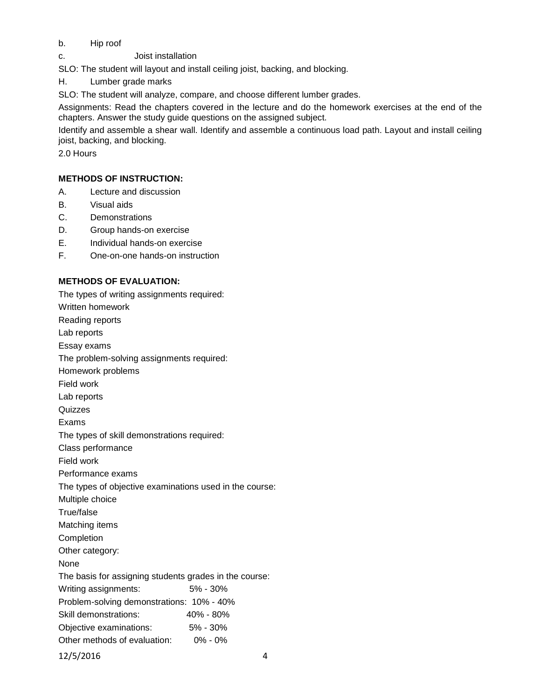# b. Hip roof

c. Joist installation

SLO: The student will layout and install ceiling joist, backing, and blocking.

H. Lumber grade marks

SLO: The student will analyze, compare, and choose different lumber grades.

Assignments: Read the chapters covered in the lecture and do the homework exercises at the end of the chapters. Answer the study guide questions on the assigned subject.

Identify and assemble a shear wall. Identify and assemble a continuous load path. Layout and install ceiling joist, backing, and blocking.

2.0 Hours

# **METHODS OF INSTRUCTION:**

- A. Lecture and discussion
- B. Visual aids
- C. Demonstrations
- D. Group hands-on exercise
- E. Individual hands-on exercise
- F. One-on-one hands-on instruction

# **METHODS OF EVALUATION:**

The types of writing assignments required: Written homework Reading reports Lab reports Essay exams The problem-solving assignments required: Homework problems Field work Lab reports **Quizzes** Exams The types of skill demonstrations required: Class performance Field work Performance exams The types of objective examinations used in the course: Multiple choice True/false Matching items Completion Other category: None The basis for assigning students grades in the course: Writing assignments: 5% - 30% Problem-solving demonstrations: 10% - 40% Skill demonstrations: 40% - 80% Objective examinations: 5% - 30% Other methods of evaluation: 0% - 0% 12/5/2016 4